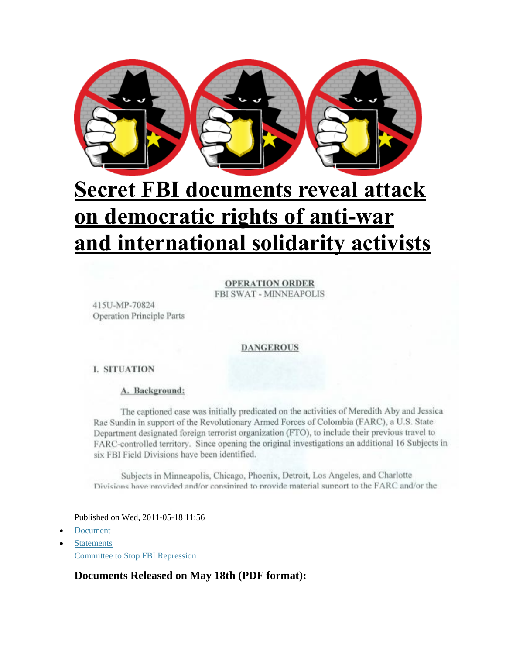

# **Secret FBI documents reveal attack on democratic rights of anti-war and international solidarity activists**

**OPERATION ORDER** FBI SWAT - MINNEAPOLIS

415U-MP-70824 **Operation Principle Parts** 

#### **DANGEROUS**

#### **I. SITUATION**

#### A. Background:

The captioned case was initially predicated on the activities of Meredith Aby and Jessica Rae Sundin in support of the Revolutionary Armed Forces of Colombia (FARC), a U.S. State Department designated foreign terrorist organization (FTO), to include their previous travel to FARC-controlled territory. Since opening the original investigations an additional 16 Subjects in six FBI Field Divisions have been identified.

Subjects in Minneapolis, Chicago, Phoenix, Detroit, Los Angeles, and Charlotte Divisions have provided and/or consinired to provide material support to the FARC and/or the

Published on Wed, 2011-05-18 11:56

- [Document](http://www.stopfbi.net/category/media-type/document)
- **[Statements](http://www.stopfbi.net/category/wordpress-category/statements)** [Committee to Stop FBI Repression](http://www.stopfbi.net/organization/committee-stop-fbi-repression)

#### **Documents Released on May 18th (PDF format):**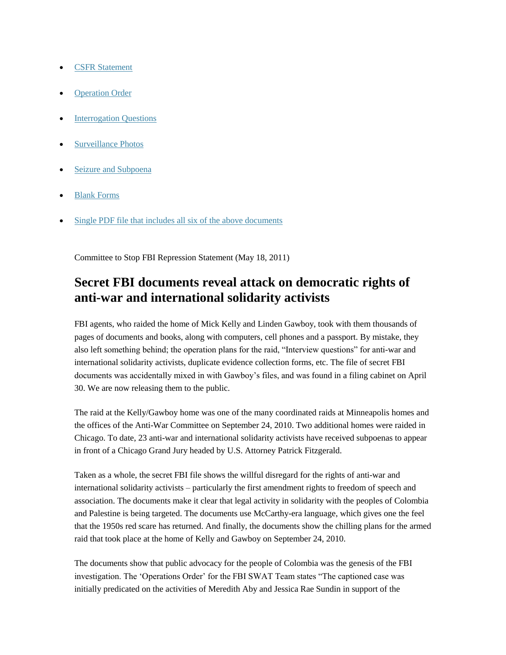- [CSFR Statement](http://www.stopfbi.net/sites/default/files/1-CSFR%20statement.pdf)
- [Operation Order](http://www.stopfbi.net/sites/default/files/2-Operation%20Order.pdf)
- [Interrogation Questions](http://www.stopfbi.net/sites/default/files/3-Interrogation%20Questions.pdf)
- [Surveillance Photos](http://www.stopfbi.net/sites/default/files/4-Surveillance%20photos.pdf)
- [Seizure and Subpoena](http://www.stopfbi.net/sites/default/files/5-Seizure%20and%20Subpoena.pdf)
- [Blank Forms](http://www.stopfbi.net/sites/default/files/6-Blank%20forms.pdf)
- [Single PDF file that includes all six of the above documents](http://www.stopfbi.net/sites/default/files/CSFR%20May%2018%20documents%20ALL.pdf)

Committee to Stop FBI Repression Statement (May 18, 2011)

## **Secret FBI documents reveal attack on democratic rights of anti-war and international solidarity activists**

FBI agents, who raided the home of Mick Kelly and Linden Gawboy, took with them thousands of pages of documents and books, along with computers, cell phones and a passport. By mistake, they also left something behind; the operation plans for the raid, "Interview questions" for anti-war and international solidarity activists, duplicate evidence collection forms, etc. The file of secret FBI documents was accidentally mixed in with Gawboy's files, and was found in a filing cabinet on April 30. We are now releasing them to the public.

The raid at the Kelly/Gawboy home was one of the many coordinated raids at Minneapolis homes and the offices of the Anti-War Committee on September 24, 2010. Two additional homes were raided in Chicago. To date, 23 anti-war and international solidarity activists have received subpoenas to appear in front of a Chicago Grand Jury headed by U.S. Attorney Patrick Fitzgerald.

Taken as a whole, the secret FBI file shows the willful disregard for the rights of anti-war and international solidarity activists – particularly the first amendment rights to freedom of speech and association. The documents make it clear that legal activity in solidarity with the peoples of Colombia and Palestine is being targeted. The documents use McCarthy-era language, which gives one the feel that the 1950s red scare has returned. And finally, the documents show the chilling plans for the armed raid that took place at the home of Kelly and Gawboy on September 24, 2010.

The documents show that public advocacy for the people of Colombia was the genesis of the FBI investigation. The 'Operations Order' for the FBI SWAT Team states "The captioned case was initially predicated on the activities of Meredith Aby and Jessica Rae Sundin in support of the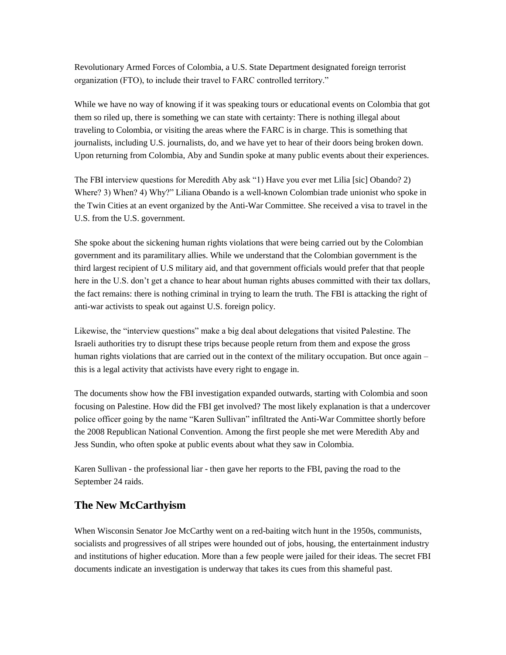Revolutionary Armed Forces of Colombia, a U.S. State Department designated foreign terrorist organization (FTO), to include their travel to FARC controlled territory."

While we have no way of knowing if it was speaking tours or educational events on Colombia that got them so riled up, there is something we can state with certainty: There is nothing illegal about traveling to Colombia, or visiting the areas where the FARC is in charge. This is something that journalists, including U.S. journalists, do, and we have yet to hear of their doors being broken down. Upon returning from Colombia, Aby and Sundin spoke at many public events about their experiences.

The FBI interview questions for Meredith Aby ask "1) Have you ever met Lilia [sic] Obando? 2) Where? 3) When? 4) Why?" Liliana Obando is a well-known Colombian trade unionist who spoke in the Twin Cities at an event organized by the Anti-War Committee. She received a visa to travel in the U.S. from the U.S. government.

She spoke about the sickening human rights violations that were being carried out by the Colombian government and its paramilitary allies. While we understand that the Colombian government is the third largest recipient of U.S military aid, and that government officials would prefer that that people here in the U.S. don't get a chance to hear about human rights abuses committed with their tax dollars, the fact remains: there is nothing criminal in trying to learn the truth. The FBI is attacking the right of anti-war activists to speak out against U.S. foreign policy.

Likewise, the "interview questions" make a big deal about delegations that visited Palestine. The Israeli authorities try to disrupt these trips because people return from them and expose the gross human rights violations that are carried out in the context of the military occupation. But once again – this is a legal activity that activists have every right to engage in.

The documents show how the FBI investigation expanded outwards, starting with Colombia and soon focusing on Palestine. How did the FBI get involved? The most likely explanation is that a undercover police officer going by the name "Karen Sullivan" infiltrated the Anti-War Committee shortly before the 2008 Republican National Convention. Among the first people she met were Meredith Aby and Jess Sundin, who often spoke at public events about what they saw in Colombia.

Karen Sullivan - the professional liar - then gave her reports to the FBI, paving the road to the September 24 raids.

#### **The New McCarthyism**

When Wisconsin Senator Joe McCarthy went on a red-baiting witch hunt in the 1950s, communists, socialists and progressives of all stripes were hounded out of jobs, housing, the entertainment industry and institutions of higher education. More than a few people were jailed for their ideas. The secret FBI documents indicate an investigation is underway that takes its cues from this shameful past.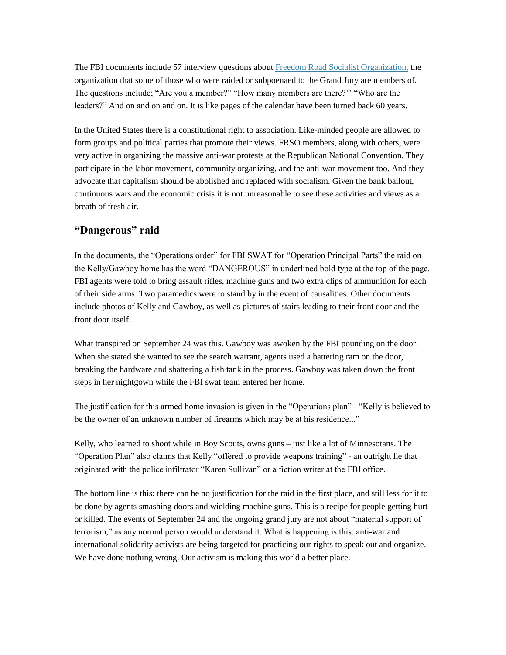The FBI documents include 57 interview questions about [Freedom Road Socialist Organization,](http://www.frso.org/) the organization that some of those who were raided or subpoenaed to the Grand Jury are members of. The questions include; "Are you a member?" "How many members are there?'' "Who are the leaders?" And on and on and on. It is like pages of the calendar have been turned back 60 years.

In the United States there is a constitutional right to association. Like-minded people are allowed to form groups and political parties that promote their views. FRSO members, along with others, were very active in organizing the massive anti-war protests at the Republican National Convention. They participate in the labor movement, community organizing, and the anti-war movement too. And they advocate that capitalism should be abolished and replaced with socialism. Given the bank bailout, continuous wars and the economic crisis it is not unreasonable to see these activities and views as a breath of fresh air.

#### **"Dangerous" raid**

In the documents, the "Operations order" for FBI SWAT for "Operation Principal Parts" the raid on the Kelly/Gawboy home has the word "DANGEROUS" in underlined bold type at the top of the page. FBI agents were told to bring assault rifles, machine guns and two extra clips of ammunition for each of their side arms. Two paramedics were to stand by in the event of causalities. Other documents include photos of Kelly and Gawboy, as well as pictures of stairs leading to their front door and the front door itself.

What transpired on September 24 was this. Gawboy was awoken by the FBI pounding on the door. When she stated she wanted to see the search warrant, agents used a battering ram on the door, breaking the hardware and shattering a fish tank in the process. Gawboy was taken down the front steps in her nightgown while the FBI swat team entered her home.

The justification for this armed home invasion is given in the "Operations plan" - "Kelly is believed to be the owner of an unknown number of firearms which may be at his residence..."

Kelly, who learned to shoot while in Boy Scouts, owns guns – just like a lot of Minnesotans. The "Operation Plan" also claims that Kelly "offered to provide weapons training" - an outright lie that originated with the police infiltrator "Karen Sullivan" or a fiction writer at the FBI office.

The bottom line is this: there can be no justification for the raid in the first place, and still less for it to be done by agents smashing doors and wielding machine guns. This is a recipe for people getting hurt or killed. The events of September 24 and the ongoing grand jury are not about "material support of terrorism," as any normal person would understand it. What is happening is this: anti-war and international solidarity activists are being targeted for practicing our rights to speak out and organize. We have done nothing wrong. Our activism is making this world a better place.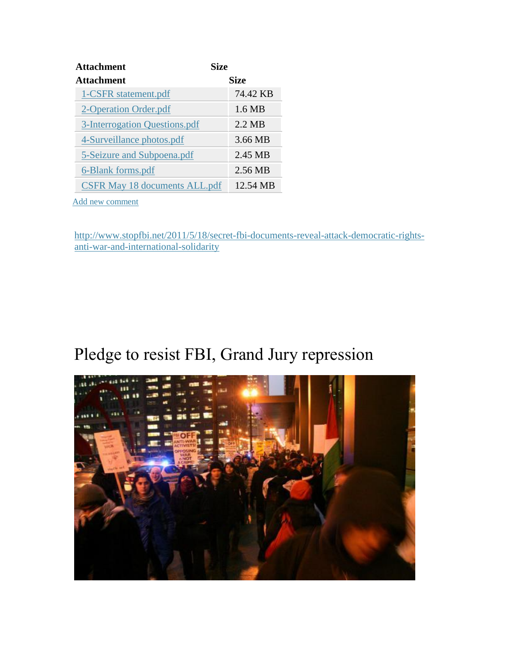| Attachment                           | <b>Size</b>      |
|--------------------------------------|------------------|
| <b>Attachment</b>                    | <b>Size</b>      |
| 1-CSFR statement.pdf                 | 74.42 KB         |
| 2-Operation Order.pdf                | 1.6 MB           |
| 3-Interrogation Questions.pdf        | $2.2 \text{ MR}$ |
| 4-Surveillance photos.pdf            | 3.66 MB          |
| 5-Seizure and Subpoena.pdf           | 2.45 MB          |
| 6-Blank forms.pdf                    | 2.56 MB          |
| <b>CSFR May 18 documents ALL.pdf</b> | 12.54 MB         |

[Add new comment](http://www.stopfbi.net/comment/reply/865#comment-form)

[http://www.stopfbi.net/2011/5/18/secret-fbi-documents-reveal-attack-democratic-rights](http://www.stopfbi.net/2011/5/18/secret-fbi-documents-reveal-attack-democratic-rights-anti-war-and-international-solidarity)[anti-war-and-international-solidarity](http://www.stopfbi.net/2011/5/18/secret-fbi-documents-reveal-attack-democratic-rights-anti-war-and-international-solidarity)

## Pledge to resist FBI, Grand Jury repression